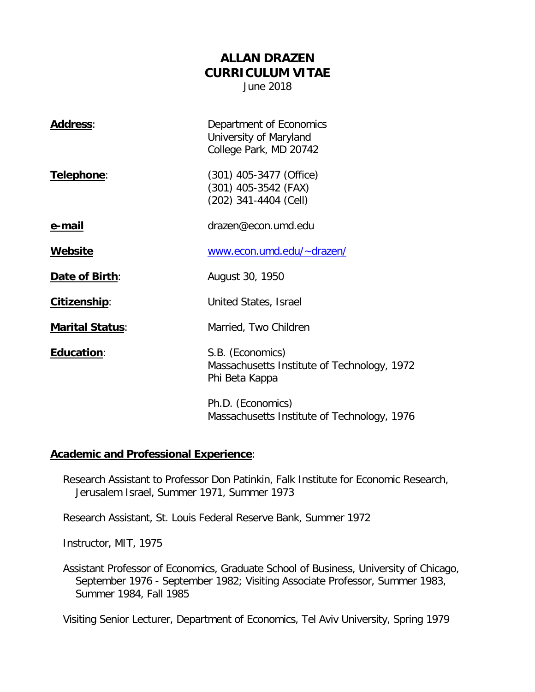# **ALLAN DRAZEN CURRICULUM VITAE**

June 2018

| <b>Address:</b>        | Department of Economics<br>University of Maryland<br>College Park, MD 20742       |
|------------------------|-----------------------------------------------------------------------------------|
| Telephone:             | $(301)$ 405-3477 (Office)<br>$(301)$ 405-3542 (FAX)<br>(202) 341-4404 (Cell)      |
| e-mail                 | drazen@econ.umd.edu                                                               |
| <b>Website</b>         | www.econ.umd.edu/~drazen/                                                         |
| Date of Birth:         | August 30, 1950                                                                   |
| Citizenship:           | United States, Israel                                                             |
| <b>Marital Status:</b> | Married, Two Children                                                             |
| <b>Education:</b>      | S.B. (Economics)<br>Massachusetts Institute of Technology, 1972<br>Phi Beta Kappa |
|                        | Ph.D. (Economics)<br>Massachusetts Institute of Technology, 1976                  |

### **Academic and Professional Experience**:

Research Assistant to Professor Don Patinkin, Falk Institute for Economic Research, Jerusalem Israel, Summer 1971, Summer 1973

Research Assistant, St. Louis Federal Reserve Bank, Summer 1972

Instructor, MIT, 1975

Assistant Professor of Economics, Graduate School of Business, University of Chicago, September 1976 - September 1982; Visiting Associate Professor, Summer 1983, Summer 1984, Fall 1985

Visiting Senior Lecturer, Department of Economics, Tel Aviv University, Spring 1979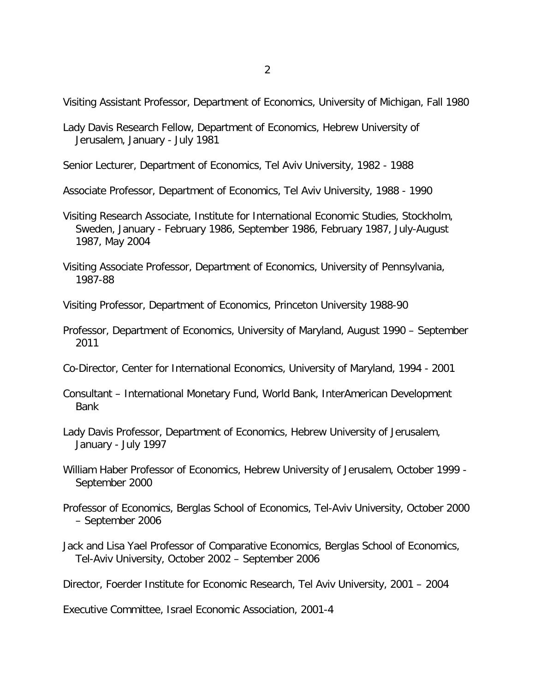Visiting Assistant Professor, Department of Economics, University of Michigan, Fall 1980

Lady Davis Research Fellow, Department of Economics, Hebrew University of Jerusalem, January - July 1981

Senior Lecturer, Department of Economics, Tel Aviv University, 1982 - 1988

Associate Professor, Department of Economics, Tel Aviv University, 1988 - 1990

- Visiting Research Associate, Institute for International Economic Studies, Stockholm, Sweden, January - February 1986, September 1986, February 1987, July-August 1987, May 2004
- Visiting Associate Professor, Department of Economics, University of Pennsylvania, 1987-88

Visiting Professor, Department of Economics, Princeton University 1988-90

- Professor, Department of Economics, University of Maryland, August 1990 September 2011
- Co-Director, Center for International Economics, University of Maryland, 1994 2001
- Consultant International Monetary Fund, World Bank, InterAmerican Development Bank
- Lady Davis Professor, Department of Economics, Hebrew University of Jerusalem, January - July 1997
- William Haber Professor of Economics, Hebrew University of Jerusalem, October 1999 September 2000
- Professor of Economics, Berglas School of Economics, Tel-Aviv University, October 2000 – September 2006
- Jack and Lisa Yael Professor of Comparative Economics, Berglas School of Economics, Tel-Aviv University, October 2002 – September 2006

Director, Foerder Institute for Economic Research, Tel Aviv University, 2001 – 2004

Executive Committee, Israel Economic Association, 2001-4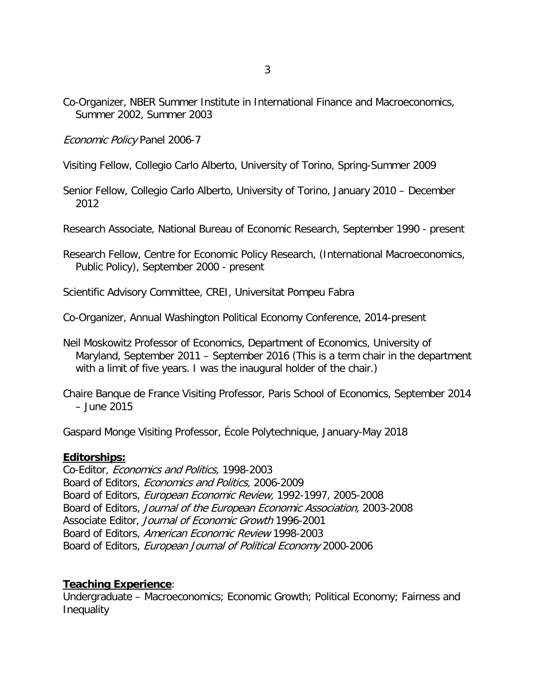Co-Organizer, NBER Summer Institute in International Finance and Macroeconomics, Summer 2002, Summer 2003

Economic Policy Panel 2006-7

Visiting Fellow, Collegio Carlo Alberto, University of Torino, Spring-Summer 2009

Senior Fellow, Collegio Carlo Alberto, University of Torino, January 2010 – December 2012

Research Associate, National Bureau of Economic Research, September 1990 - present

Research Fellow, Centre for Economic Policy Research, (International Macroeconomics, Public Policy), September 2000 - present

Scientific Advisory Committee, CREI, Universitat Pompeu Fabra

Co-Organizer, Annual Washington Political Economy Conference, 2014-present

Neil Moskowitz Professor of Economics, Department of Economics, University of Maryland, September 2011 – September 2016 (This is a term chair in the department with a limit of five years. I was the inaugural holder of the chair.)

Chaire Banque de France Visiting Professor, Paris School of Economics, September 2014 – June 2015

Gaspard Monge Visiting Professor, École Polytechnique, January-May 2018

### **Editorships:**

Co-Editor, Economics and Politics, 1998-2003 Board of Editors, Economics and Politics, 2006-2009 Board of Editors, European Economic Review, 1992-1997, 2005-2008 Board of Editors, Journal of the European Economic Association, 2003-2008 Associate Editor, Journal of Economic Growth 1996-2001 Board of Editors, American Economic Review 1998-2003 Board of Editors, European Journal of Political Economy 2000-2006

### **Teaching Experience**:

Undergraduate – Macroeconomics; Economic Growth; Political Economy; Fairness and **Inequality**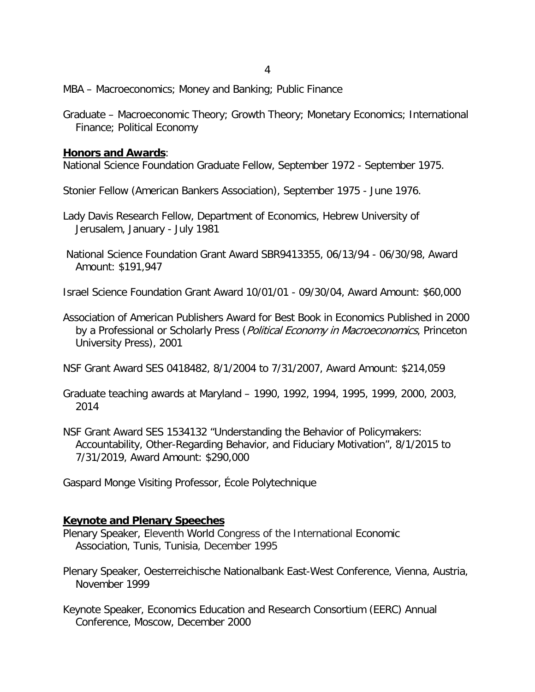MBA – Macroeconomics; Money and Banking; Public Finance

Graduate – Macroeconomic Theory; Growth Theory; Monetary Economics; International Finance; Political Economy

### **Honors and Awards**:

National Science Foundation Graduate Fellow, September 1972 - September 1975.

Stonier Fellow (American Bankers Association), September 1975 - June 1976.

- Lady Davis Research Fellow, Department of Economics, Hebrew University of Jerusalem, January - July 1981
- National Science Foundation Grant Award SBR9413355, 06/13/94 06/30/98, Award Amount: \$191,947
- Israel Science Foundation Grant Award 10/01/01 09/30/04, Award Amount: \$60,000
- Association of American Publishers Award for Best Book in Economics Published in 2000 by a Professional or Scholarly Press (Political Economy in Macroeconomics, Princeton University Press), 2001

NSF Grant Award SES 0418482, 8/1/2004 to 7/31/2007, Award Amount: \$214,059

- Graduate teaching awards at Maryland 1990, 1992, 1994, 1995, 1999, 2000, 2003, 2014
- NSF Grant Award SES 1534132 "Understanding the Behavior of Policymakers: Accountability, Other-Regarding Behavior, and Fiduciary Motivation", 8/1/2015 to 7/31/2019, Award Amount: \$290,000

Gaspard Monge Visiting Professor, École Polytechnique

### **Keynote and Plenary Speeches**

- Plenary Speaker, Eleventh World Congress of the International Economic Association, Tunis, Tunisia, December 1995
- Plenary Speaker, Oesterreichische Nationalbank East-West Conference, Vienna, Austria, November 1999
- Keynote Speaker, Economics Education and Research Consortium (EERC) Annual Conference, Moscow, December 2000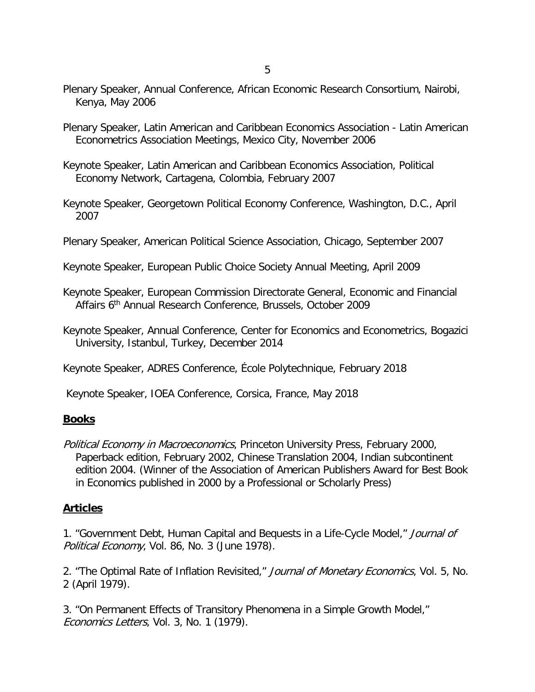- Plenary Speaker, Annual Conference, African Economic Research Consortium, Nairobi, Kenya, May 2006
- Plenary Speaker, Latin American and Caribbean Economics Association Latin American Econometrics Association Meetings, Mexico City, November 2006
- Keynote Speaker, Latin American and Caribbean Economics Association, Political Economy Network, Cartagena, Colombia, February 2007
- Keynote Speaker, Georgetown Political Economy Conference, Washington, D.C., April 2007
- Plenary Speaker, American Political Science Association, Chicago, September 2007
- Keynote Speaker, European Public Choice Society Annual Meeting, April 2009
- Keynote Speaker, European Commission Directorate General, Economic and Financial Affairs 6th Annual Research Conference, Brussels, October 2009
- Keynote Speaker, Annual Conference, Center for Economics and Econometrics, Bogazici University, Istanbul, Turkey, December 2014
- Keynote Speaker, ADRES Conference, École Polytechnique, February 2018
- Keynote Speaker, IOEA Conference, Corsica, France, May 2018

### **Books**

Political Economy in Macroeconomics, Princeton University Press, February 2000, Paperback edition, February 2002, Chinese Translation 2004, Indian subcontinent edition 2004. (Winner of the Association of American Publishers Award for Best Book in Economics published in 2000 by a Professional or Scholarly Press)

# **Articles**

1. "Government Debt, Human Capital and Bequests in a Life-Cycle Model," Journal of Political Economy, Vol. 86, No. 3 (June 1978).

2. "The Optimal Rate of Inflation Revisited," Journal of Monetary Economics, Vol. 5, No. 2 (April 1979).

3. "On Permanent Effects of Transitory Phenomena in a Simple Growth Model," Economics Letters, Vol. 3, No. 1 (1979).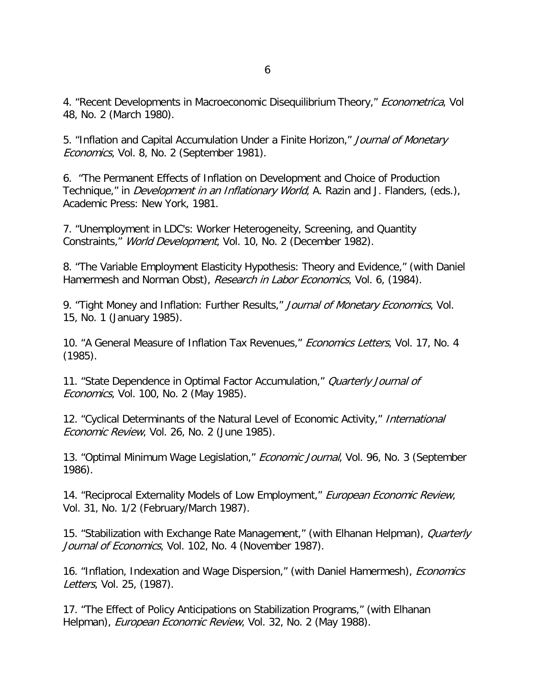4. "Recent Developments in Macroeconomic Disequilibrium Theory," *Econometrica*, Vol 48, No. 2 (March 1980).

5. "Inflation and Capital Accumulation Under a Finite Horizon," Journal of Monetary Economics, Vol. 8, No. 2 (September 1981).

6. "The Permanent Effects of Inflation on Development and Choice of Production Technique," in *Development in an Inflationary World*, A. Razin and J. Flanders, (eds.), Academic Press: New York, 1981.

7. "Unemployment in LDC's: Worker Heterogeneity, Screening, and Quantity Constraints," World Development, Vol. 10, No. 2 (December 1982).

8. "The Variable Employment Elasticity Hypothesis: Theory and Evidence," (with Daniel Hamermesh and Norman Obst), Research in Labor Economics, Vol. 6, (1984).

9. "Tight Money and Inflation: Further Results," Journal of Monetary Economics, Vol. 15, No. 1 (January 1985).

10. "A General Measure of Inflation Tax Revenues," *Economics Letters*, Vol. 17, No. 4 (1985).

11. "State Dependence in Optimal Factor Accumulation," Quarterly Journal of Economics, Vol. 100, No. 2 (May 1985).

12. "Cyclical Determinants of the Natural Level of Economic Activity," International Economic Review, Vol. 26, No. 2 (June 1985).

13. "Optimal Minimum Wage Legislation," *Economic Journal*, Vol. 96, No. 3 (September 1986).

14. "Reciprocal Externality Models of Low Employment," European Economic Review, Vol. 31, No. 1/2 (February/March 1987).

15. "Stabilization with Exchange Rate Management," (with Elhanan Helpman), *Quarterly* Journal of Economics, Vol. 102, No. 4 (November 1987).

16. "Inflation, Indexation and Wage Dispersion," (with Daniel Hamermesh), *Economics* Letters, Vol. 25, (1987).

17. "The Effect of Policy Anticipations on Stabilization Programs," (with Elhanan Helpman), *European Economic Review*, Vol. 32, No. 2 (May 1988).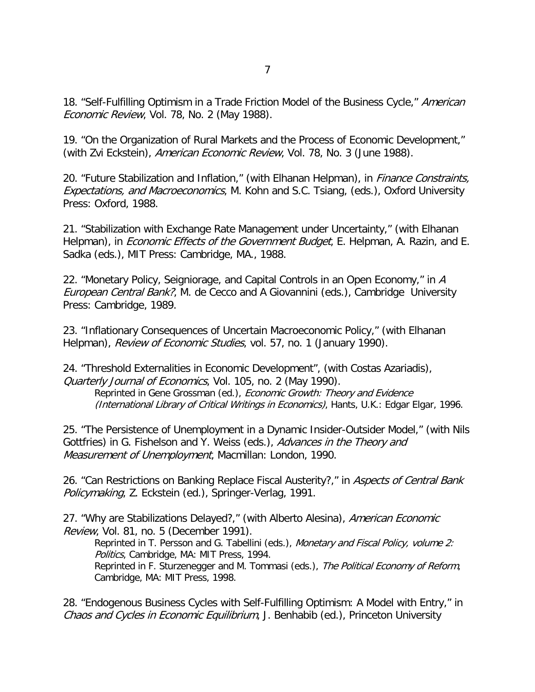18. "Self-Fulfilling Optimism in a Trade Friction Model of the Business Cycle," American Economic Review, Vol. 78, No. 2 (May 1988).

19. "On the Organization of Rural Markets and the Process of Economic Development," (with Zvi Eckstein), American Economic Review, Vol. 78, No. 3 (June 1988).

20. "Future Stabilization and Inflation," (with Elhanan Helpman), in *Finance Constraints*, Expectations, and Macroeconomics, M. Kohn and S.C. Tsiang, (eds.), Oxford University Press: Oxford, 1988.

21. "Stabilization with Exchange Rate Management under Uncertainty," (with Elhanan Helpman), in *Economic Effects of the Government Budget*, E. Helpman, A. Razin, and E. Sadka (eds.), MIT Press: Cambridge, MA., 1988.

22. "Monetary Policy, Seigniorage, and Capital Controls in an Open Economy," in A European Central Bank?, M. de Cecco and A Giovannini (eds.), Cambridge University Press: Cambridge, 1989.

23. "Inflationary Consequences of Uncertain Macroeconomic Policy," (with Elhanan Helpman), Review of Economic Studies, vol. 57, no. 1 (January 1990).

24. "Threshold Externalities in Economic Development", (with Costas Azariadis), Quarterly Journal of Economics, Vol. 105, no. 2 (May 1990). Reprinted in Gene Grossman (ed.), Economic Growth: Theory and Evidence (International Library of Critical Writings in Economics), Hants, U.K.: Edgar Elgar, 1996.

25. "The Persistence of Unemployment in a Dynamic Insider-Outsider Model," (with Nils Gottfries) in G. Fishelson and Y. Weiss (eds.), Advances in the Theory and Measurement of Unemployment, Macmillan: London, 1990.

26. "Can Restrictions on Banking Replace Fiscal Austerity?," in Aspects of Central Bank Policymaking, Z. Eckstein (ed.), Springer-Verlag, 1991.

27. "Why are Stabilizations Delayed?," (with Alberto Alesina), American Economic Review, Vol. 81, no. 5 (December 1991).

Reprinted in T. Persson and G. Tabellini (eds.), Monetary and Fiscal Policy, volume 2: Politics, Cambridge, MA: MIT Press, 1994.

Reprinted in F. Sturzenegger and M. Tommasi (eds.), The Political Economy of Reform, Cambridge, MA: MIT Press, 1998.

28. "Endogenous Business Cycles with Self-Fulfilling Optimism: A Model with Entry," in Chaos and Cycles in Economic Equilibrium, J. Benhabib (ed.), Princeton University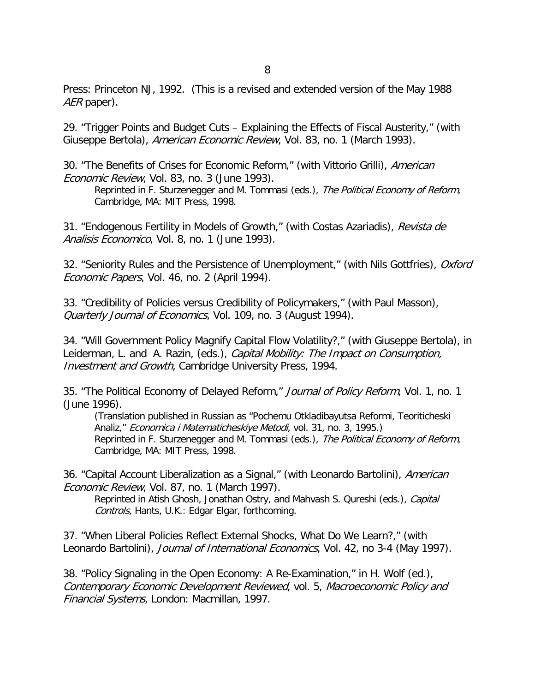Press: Princeton NJ, 1992. (This is a revised and extended version of the May 1988 AER paper).

29. "Trigger Points and Budget Cuts – Explaining the Effects of Fiscal Austerity," (with Giuseppe Bertola), American Economic Review, Vol. 83, no. 1 (March 1993).

30. "The Benefits of Crises for Economic Reform," (with Vittorio Grilli), American Economic Review, Vol. 83, no. 3 (June 1993).

Reprinted in F. Sturzenegger and M. Tommasi (eds.), The Political Economy of Reform, Cambridge, MA: MIT Press, 1998.

31. "Endogenous Fertility in Models of Growth," (with Costas Azariadis), Revista de Analisis Economico, Vol. 8, no. 1 (June 1993).

32. "Seniority Rules and the Persistence of Unemployment," (with Nils Gottfries), Oxford Economic Papers, Vol. 46, no. 2 (April 1994).

33. "Credibility of Policies versus Credibility of Policymakers," (with Paul Masson), Quarterly Journal of Economics, Vol. 109, no. 3 (August 1994).

34. "Will Government Policy Magnify Capital Flow Volatility?," (with Giuseppe Bertola), in Leiderman, L. and A. Razin, (eds.), Capital Mobility: The Impact on Consumption, Investment and Growth, Cambridge University Press, 1994.

35. "The Political Economy of Delayed Reform," Journal of Policy Reform, Vol. 1, no. 1 (June 1996).

(Translation published in Russian as "Pochemu Otkladibayutsa Reformi, Teoriticheski Analiz," Economica i Matematicheskiye Metodi, vol. 31, no. 3, 1995.) Reprinted in F. Sturzenegger and M. Tommasi (eds.), The Political Economy of Reform, Cambridge, MA: MIT Press, 1998.

36. "Capital Account Liberalization as a Signal," (with Leonardo Bartolini), American Economic Review, Vol. 87, no. 1 (March 1997).

Reprinted in Atish Ghosh, Jonathan Ostry, and Mahvash S. Qureshi (eds.), Capital Controls, Hants, U.K.: Edgar Elgar, forthcoming.

37. "When Liberal Policies Reflect External Shocks, What Do We Learn?," (with Leonardo Bartolini), Journal of International Economics, Vol. 42, no 3-4 (May 1997).

38. "Policy Signaling in the Open Economy: A Re-Examination," in H. Wolf (ed.), Contemporary Economic Development Reviewed, vol. 5, Macroeconomic Policy and Financial Systems, London: Macmillan, 1997.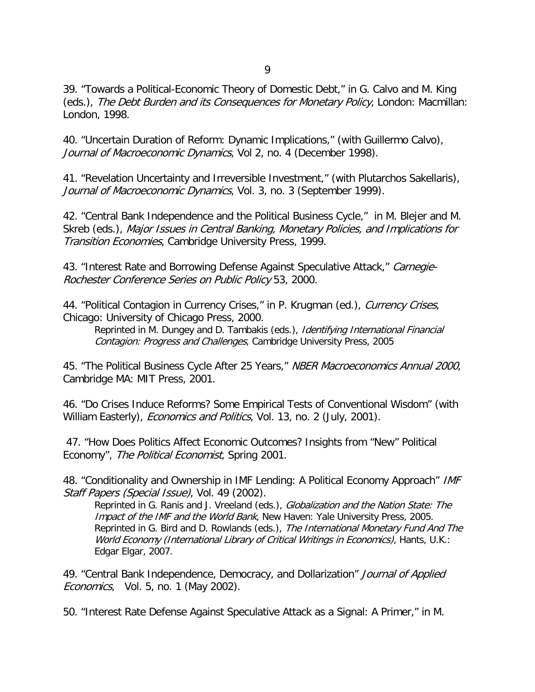9

39. "Towards a Political-Economic Theory of Domestic Debt," in G. Calvo and M. King (eds.), The Debt Burden and its Consequences for Monetary Policy, London: Macmillan: London, 1998.

40. "Uncertain Duration of Reform: Dynamic Implications," (with Guillermo Calvo), Journal of Macroeconomic Dynamics, Vol 2, no. 4 (December 1998).

41. "Revelation Uncertainty and Irreversible Investment," (with Plutarchos Sakellaris), Journal of Macroeconomic Dynamics, Vol. 3, no. 3 (September 1999).

42. "Central Bank Independence and the Political Business Cycle," in M. Blejer and M. Skreb (eds.), Major Issues in Central Banking, Monetary Policies, and Implications for Transition Economies, Cambridge University Press, 1999.

43. "Interest Rate and Borrowing Defense Against Speculative Attack," Carnegie-Rochester Conference Series on Public Policy 53, 2000.

44. "Political Contagion in Currency Crises," in P. Krugman (ed.), Currency Crises, Chicago: University of Chicago Press, 2000.

Reprinted in M. Dungey and D. Tambakis (eds.), *Identifying International Financial* Contagion: Progress and Challenges, Cambridge University Press, 2005

45. "The Political Business Cycle After 25 Years," NBER Macroeconomics Annual 2000, Cambridge MA: MIT Press, 2001.

46. "Do Crises Induce Reforms? Some Empirical Tests of Conventional Wisdom" (with William Easterly), *Economics and Politics*, Vol. 13, no. 2 (July, 2001).

47. "How Does Politics Affect Economic Outcomes? Insights from "New" Political Economy", The Political Economist, Spring 2001.

48. "Conditionality and Ownership in IMF Lending: A Political Economy Approach" IMF Staff Papers (Special Issue), Vol. 49 (2002).

Reprinted in G. Ranis and J. Vreeland (eds.), Globalization and the Nation State: The Impact of the IMF and the World Bank, New Haven: Yale University Press, 2005. Reprinted in G. Bird and D. Rowlands (eds.), The International Monetary Fund And The World Economy (International Library of Critical Writings in Economics), Hants, U.K.: Edgar Elgar, 2007.

49. "Central Bank Independence, Democracy, and Dollarization" Journal of Applied Economics, Vol. 5, no. 1 (May 2002).

50. "Interest Rate Defense Against Speculative Attack as a Signal: A Primer," in M.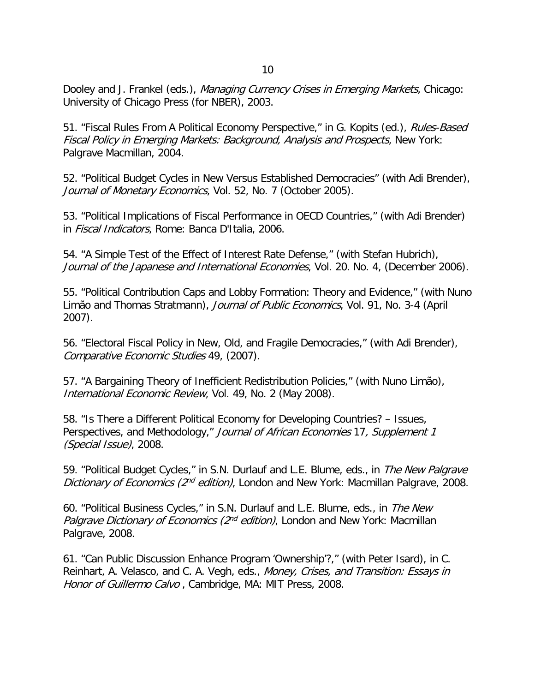Dooley and J. Frankel (eds.), Managing Currency Crises in Emerging Markets, Chicago: University of Chicago Press (for NBER), 2003.

51. "Fiscal Rules From A Political Economy Perspective," in G. Kopits (ed.), Rules-Based Fiscal Policy in Emerging Markets: Background, Analysis and Prospects, New York: Palgrave Macmillan, 2004.

52. "Political Budget Cycles in New Versus Established Democracies" (with Adi Brender), Journal of Monetary Economics, Vol. 52, No. 7 (October 2005).

53. "Political Implications of Fiscal Performance in OECD Countries," (with Adi Brender) in Fiscal Indicators, Rome: Banca D'Italia, 2006.

54. "A Simple Test of the Effect of Interest Rate Defense," (with Stefan Hubrich), Journal of the Japanese and International Economies, Vol. 20. No. 4, (December 2006).

55. "Political Contribution Caps and Lobby Formation: Theory and Evidence," (with Nuno Limão and Thomas Stratmann), Journal of Public Economics, Vol. 91, No. 3-4 (April 2007).

56. "Electoral Fiscal Policy in New, Old, and Fragile Democracies," (with Adi Brender), Comparative Economic Studies 49, (2007).

57. "A Bargaining Theory of Inefficient Redistribution Policies," (with Nuno Limão), International Economic Review, Vol. 49, No. 2 (May 2008).

58. "Is There a Different Political Economy for Developing Countries? – Issues, Perspectives, and Methodology," Journal of African Economies 17, Supplement 1 (Special Issue), 2008.

59. "Political Budget Cycles," in S.N. Durlauf and L.E. Blume, eds., in The New Palgrave Dictionary of Economics (2<sup>nd</sup> edition), London and New York: Macmillan Palgrave, 2008.

60. "Political Business Cycles," in S.N. Durlauf and L.E. Blume, eds., in The New Palgrave Dictionary of Economics ( $2^{nd}$  edition), London and New York: Macmillan Palgrave, 2008.

61. "Can Public Discussion Enhance Program 'Ownership'?," (with Peter Isard), in C. Reinhart, A. Velasco, and C. A. Vegh, eds., Money, Crises, and Transition: Essays in Honor of Guillermo Calvo, Cambridge, MA: MIT Press, 2008.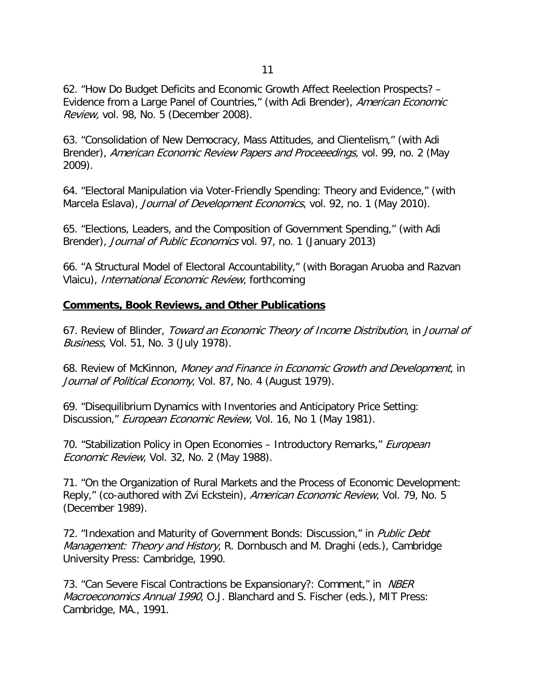62. "How Do Budget Deficits and Economic Growth Affect Reelection Prospects? – Evidence from a Large Panel of Countries," (with Adi Brender), American Economic Review, vol. 98, No. 5 (December 2008).

63. "Consolidation of New Democracy, Mass Attitudes, and Clientelism," (with Adi Brender), American Economic Review Papers and Proceeedings, vol. 99, no. 2 (May 2009).

64. "Electoral Manipulation via Voter-Friendly Spending: Theory and Evidence," (with Marcela Eslava), *Journal of Development Economics*, vol. 92, no. 1 (May 2010).

65. "Elections, Leaders, and the Composition of Government Spending," (with Adi Brender), *Journal of Public Economics* vol. 97, no. 1 (January 2013)

66. "A Structural Model of Electoral Accountability," (with Boragan Aruoba and Razvan Vlaicu), International Economic Review, forthcoming

# **Comments, Book Reviews, and Other Publications**

67. Review of Blinder, Toward an Economic Theory of Income Distribution, in Journal of Business, Vol. 51, No. 3 (July 1978).

68. Review of McKinnon, Money and Finance in Economic Growth and Development, in Journal of Political Economy, Vol. 87, No. 4 (August 1979).

69. "Disequilibrium Dynamics with Inventories and Anticipatory Price Setting: Discussion," *European Economic Review*, Vol. 16, No 1 (May 1981).

70. "Stabilization Policy in Open Economies – Introductory Remarks," *European* Economic Review, Vol. 32, No. 2 (May 1988).

71. "On the Organization of Rural Markets and the Process of Economic Development: Reply," (co-authored with Zvi Eckstein), American Economic Review, Vol. 79, No. 5 (December 1989).

72. "Indexation and Maturity of Government Bonds: Discussion," in Public Debt Management: Theory and History, R. Dornbusch and M. Draghi (eds.), Cambridge University Press: Cambridge, 1990.

73. "Can Severe Fiscal Contractions be Expansionary?: Comment," in *NBER* Macroeconomics Annual 1990, O.J. Blanchard and S. Fischer (eds.), MIT Press: Cambridge, MA., 1991.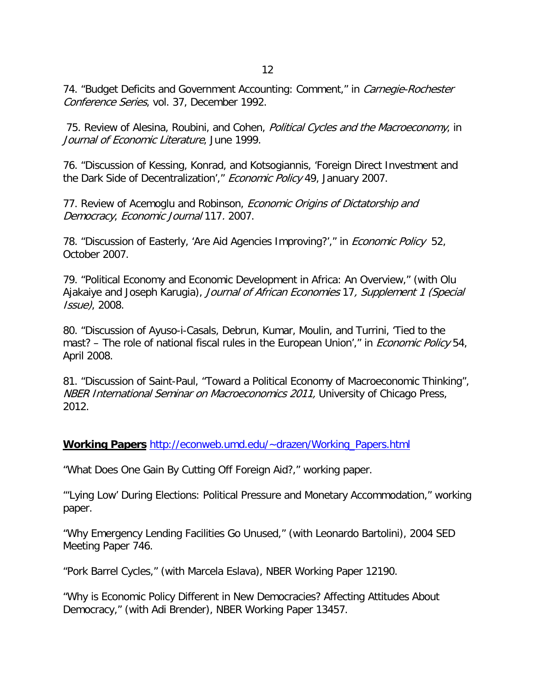74. "Budget Deficits and Government Accounting: Comment," in *Carnegie-Rochester* Conference Series, vol. 37, December 1992.

75. Review of Alesina, Roubini, and Cohen, *Political Cycles and the Macroeconomy*, in Journal of Economic Literature, June 1999.

76. "Discussion of Kessing, Konrad, and Kotsogiannis, 'Foreign Direct Investment and the Dark Side of Decentralization'," Economic Policy 49, January 2007.

77. Review of Acemoglu and Robinson, *Economic Origins of Dictatorship and* Democracy, Economic Journal 117. 2007.

78. "Discussion of Easterly, 'Are Aid Agencies Improving?'," in *Economic Policy* 52, October 2007.

79. "Political Economy and Economic Development in Africa: An Overview," (with Olu Ajakaiye and Joseph Karugia), Journal of African Economies 17, Supplement 1 (Special Issue), 2008.

80. "Discussion of Ayuso-i-Casals, Debrun, Kumar, Moulin, and Turrini, 'Tied to the mast? – The role of national fiscal rules in the European Union'," in *Economic Policy* 54, April 2008.

81. "Discussion of Saint-Paul, "Toward a Political Economy of Macroeconomic Thinking", NBER International Seminar on Macroeconomics 2011, University of Chicago Press, 2012.

**Working Papers** [http://econweb.umd.edu/~drazen/Working\\_Papers.html](http://econweb.umd.edu/%7Edrazen/Working_Papers.html)

"What Does One Gain By Cutting Off Foreign Aid?," working paper.

"'Lying Low' During Elections: Political Pressure and Monetary Accommodation," working paper.

"Why Emergency Lending Facilities Go Unused," (with Leonardo Bartolini), 2004 SED Meeting Paper 746.

"Pork Barrel Cycles," (with Marcela Eslava), NBER Working Paper 12190.

"Why is Economic Policy Different in New Democracies? Affecting Attitudes About Democracy," (with Adi Brender), NBER Working Paper 13457.